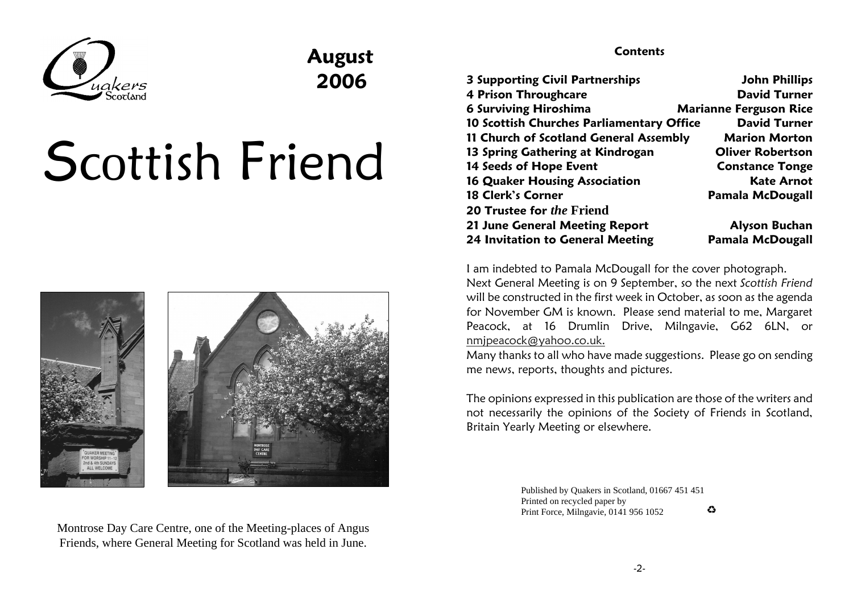

## August 2006

# Scottish Friend



Montrose Day Care Centre, one of the Meeting-places of AngusFriends, where General Meeting for Scotland was held in June.

#### **Contents**

| <b>3 Supporting Civil Partnerships</b>    | <b>John Phillips</b>          |
|-------------------------------------------|-------------------------------|
| <b>4 Prison Throughcare</b>               | <b>David Turner</b>           |
| <b>6 Surviving Hiroshima</b>              | <b>Marianne Ferguson Rice</b> |
| 10 Scottish Churches Parliamentary Office | <b>David Turner</b>           |
| 11 Church of Scotland General Assembly    | <b>Marion Morton</b>          |
| 13 Spring Gathering at Kindrogan          | <b>Oliver Robertson</b>       |
| 14 Seeds of Hope Event                    | <b>Constance Tonge</b>        |
| <b>16 Quaker Housing Association</b>      | <b>Kate Arnot</b>             |
| 18 Clerk's Corner                         | <b>Pamala McDougall</b>       |
| <b>20 Trustee for the Friend</b>          |                               |
| 21 June General Meeting Report            | <b>Alyson Buchan</b>          |
| <b>24 Invitation to General Meeting</b>   | <b>Pamala McDougall</b>       |

I am indebted to Pamala McDougall for the cover photograph.

Next General Meeting is on 9 September, so the next Sco*ttish Friend*  will be constructed in the first week in October, as soon as the agenda for November GM is known. Please send material to me, Margaret Peacock, at 16 Drumlin Drive, Milngavie, G62 6LN, ornmjpeacock@yahoo.co.uk.

 Many thanks to all who have made suggestions. Please go on sendingme news, reports, thoughts and pictures.

The opinions expressed in this publication are those of the writers and not necessarily the opinions of the Society of Friends in Scotland,Britain Yearly Meeting or elsewhere.

> Published by Quakers in Scotland, 01667 451 451Printed on recycled paper by  $\bullet$ Print Force, Milngavie, 0141 956 1052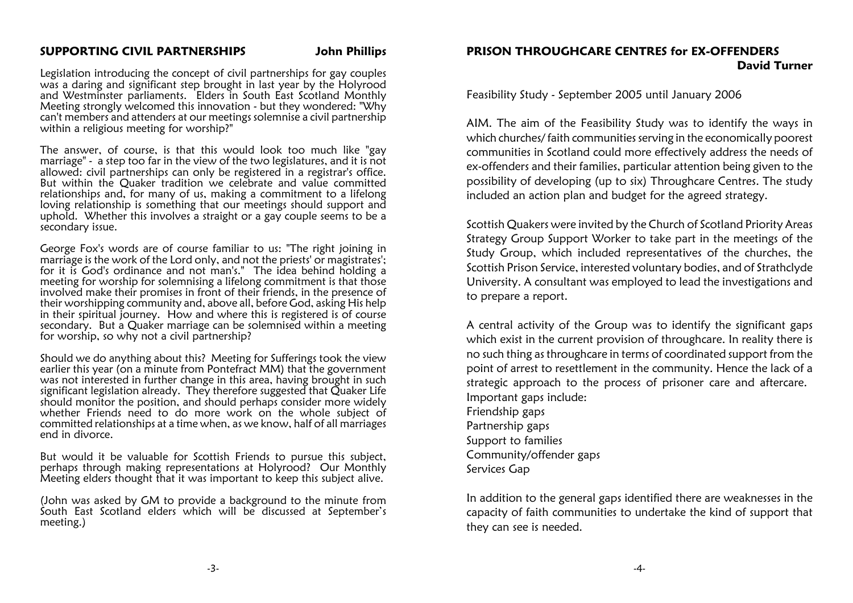#### SUPPORTING CIVIL PARTNERSHIPS John Phillips

Legislation introducing the concept of civil partnerships for gay couples was a daring and significant step brought in last year by the Holyrood and Westminster parliaments. Elders in South East Scotland Monthly Meeting strongly welcomed this innovation - but they wondered: "Why can't members and attenders at our meetings solemnise a civil partnershipwithin a religious meeting for worship?"

The answer, of course, is that this would look too much like "gay marriage" - a step too far in the view of the two legislatures, and it is not allowed: civil partnerships can only be registered in a registrar's office. But within the Quaker tradition we celebrate and value committed relationships and, for many of us, making a commitment to a lifelong loving relationship is something that our meetings should support and uphold. Whether this involves a straight or a gay couple seems to be asecondary issue.

George Fox's words are of course familiar to us: "The right joining in marriage is the work of the Lord only, and not the priests' or magistrates'; for it is God's ordinance and not man's." The idea behind holding a meeting for worship for solemnising a lifelong commitment is that those involved make their promises in front of their friends, in the presence of their worshipping community and, above all, before God, asking His help in their spiritual journey. How and where this is registered is of course secondary. But a Quaker marriage can be solemnised within a meetingfor worship, so why not a civil partnership?

Should we do anything about this? Meeting for Sufferings took the view earlier this year (on a minute from Pontefract MM) that the government was not interested in further change in this area, having brought in such significant legislation already. They therefore suggested that Quaker Life should monitor the position, and should perhaps consider more widely whether Friends need to do more work on the whole subject of committed relationships at a time when, as we know, half of all marriagesend in divorce.

But would it be valuable for Scottish Friends to pursue this subject, perhaps through making representations at Holyrood? Our MonthlyMeeting elders thought that it was important to keep this subject alive.

(John was asked by GM to provide a background to the minute from South East Scotland elders which will be discussed at September'smeeting.)

#### PRISON THROUGHCARE CENTRES for EX-OFFENDERSDavid Turner

Feasibility Study - September 2005 until January 2006

AIM. The aim of the Feasibility Study was to identify the ways in which churches/ faith communities serving in the economically poorest communities in Scotland could more effectively address the needs ofex-offenders and their families, particular attention being given to the possibility of developing (up to six) Throughcare Centres. The studyincluded an action plan and budget for the agreed strategy.

Scottish Quakers were invited by the Church of Scotland Priority Areas Strategy Group Support Worker to take part in the meetings of the Study Group, which included representatives of the churches, the Scottish Prison Service, interested voluntary bodies, and of Strathclyde University. A consultant was employed to lead the investigations andto prepare a report.

A central activity of the Group was to identify the significant gaps which exist in the current provision of throughcare. In reality there is no such thing as throughcare in terms of coordinated support from the point of arrest to resettlement in the community. Hence the lack of a strategic approach to the process of prisoner care and aftercare. Important gaps include:Friendship gaps Partnership gaps Support to families Community/offender gaps Services Gap

In addition to the general gaps identified there are weaknesses in the capacity of faith communities to undertake the kind of support thatthey can see is needed.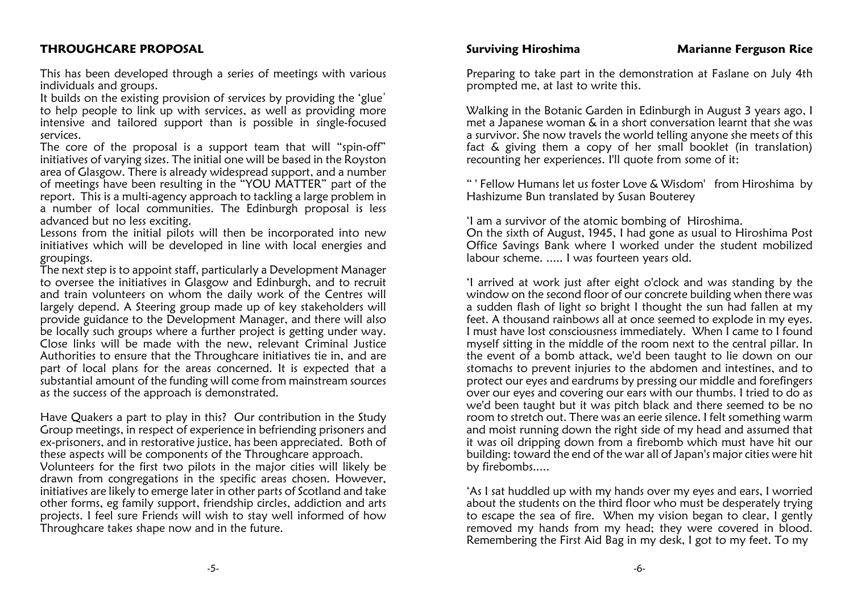#### THROUGHCARE PROPOSAL

This has been developed through a series of meetings with variousindividuals and groups.

It builds on the existing provision of services by providing the 'glue' to help people to link up with services, as well as providing more intensive and tailored support than is possible in single-focusedservices.

 The core of the proposal is a support team that will "spin-off" initiatives of varying sizes. The initial one will be based in the Royston area of Glasgow. There is already widespread support, and a number of meetings have been resulting in the "YOU MATTER" part of the report. This is a multi-agency approach to tackling a large problem in a number of local communities. The Edinburgh proposal is lessadvanced but no less exciting.

 Lessons from the initial pilots will then be incorporated into new initiatives which will be developed in line with local energies andgroupings.

 The next step is to appoint staff, particularly a Development Manager to oversee the initiatives in Glasgow and Edinburgh, and to recruit and train volunteers on whom the daily work of the Centres will largely depend. A Steering group made up of key stakeholders will provide guidance to the Development Manager, and there will also be locally such groups where a further project is getting under way. Close links will be made with the new, relevant Criminal Justice Authorities to ensure that the Throughcare initiatives tie in, and are part of local plans for the areas concerned. It is expected that a substantial amount of the funding will come from mainstream sourcesas the success of the approach is demonstrated.

Have Quakers a part to play in this? Our contribution in the Study Group meetings, in respect of experience in befriending prisoners and ex-prisoners, and in restorative justice, has been appreciated. Both ofthese aspects will be components of the Throughcare approach. Volunteers for the first two pilots in the major cities will likely be drawn from congregations in the specific areas chosen. However, initiatives are likely to emerge later in other parts of Scotland and take other forms, eg family support, friendship circles, addiction and arts projects. I feel sure Friends will wish to stay well informed of howThroughcare takes shape now and in the future.

Preparing to take part in the demonstration at Faslane on July 4thprompted me, at last to write this.

Walking in the Botanic Garden in Edinburgh in August 3 years ago, I met a Japanese woman & in a short conversation learnt that she was a survivor. She now travels the world telling anyone she meets of this fact & giving them a copy of her small booklet (in translation)recounting her experiences. I'll quote from some of it:

" ' Fellow Humans let us foster Love & Wisdom' from Hiroshima byHashizume Bun translated by Susan Bouterey

'I am a survivor of the atomic bombing of Hiroshima. On the sixth of August, 1945, I had gone as usual to Hiroshima Post Office Savings Bank where I worked under the student mobilizedlabour scheme. ..... I was fourteen years old.

'I arrived at work just after eight o'clock and was standing by the window on the second floor of our concrete building when there was a sudden flash of light so bright I thought the sun had fallen at my feet. A thousand rainbows all at once seemed to explode in my eyes. I must have lost consciousness immediately. When I came to I found myself sitting in the middle of the room next to the central pillar. In the event of a bomb attack, we'd been taught to lie down on our stomachs to prevent injuries to the abdomen and intestines, and to protect our eyes and eardrums by pressing our middle and forefingers over our eyes and covering our ears with our thumbs. I tried to do as we'd been taught but it was pitch black and there seemed to be no room to stretch out. There was an eerie silence. I felt something warm and moist running down the right side of my head and assumed that it was oil dripping down from a firebomb which must have hit our building: toward the end of the war all of Japan's major cities were hitby firebombs.....

'As I sat huddled up with my hands over my eyes and ears, I worried about the students on the third floor who must be desperately trying to escape the sea of fire. When my vision began to clear, I gently removed my hands from my head; they were covered in blood.Remembering the First Aid Bag in my desk, I got to my feet. To my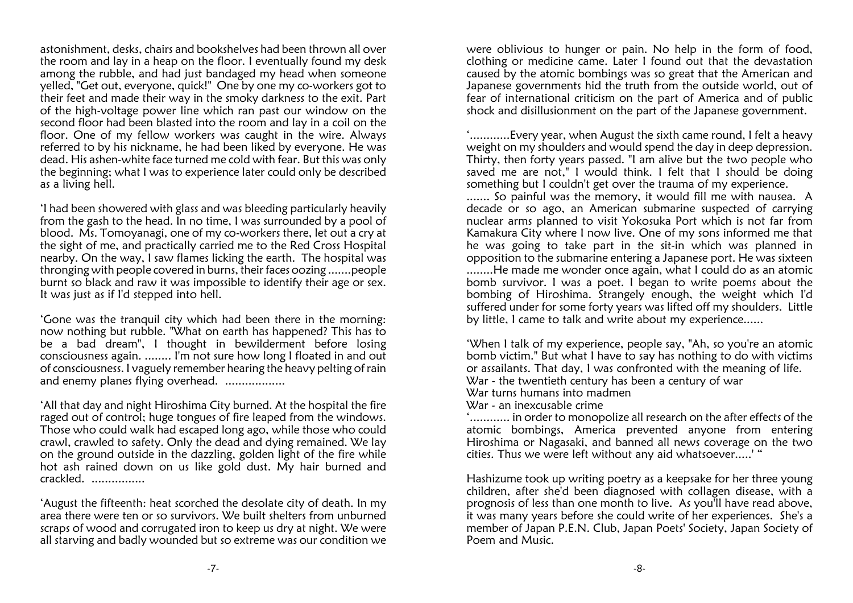astonishment, desks, chairs and bookshelves had been thrown all over the room and lay in a heap on the floor. I eventually found my desk among the rubble, and had just bandaged my head when someone yelled, "Get out, everyone, quick!" One by one my co-workers got to their feet and made their way in the smoky darkness to the exit. Part of the high-voltage power line which ran past our window on the second floor had been blasted into the room and lay in a coil on the floor. One of my fellow workers was caught in the wire. Always referred to by his nickname, he had been liked by everyone. He was dead. His ashen-white face turned me cold with fear. But this was only the beginning; what I was to experience later could only be describedas a living hell.

'I had been showered with glass and was bleeding particularly heavily from the gash to the head. In no time, I was surrounded by a pool of blood. Ms. Tomoyanagi, one of my co-workers there, let out a cry at the sight of me, and practically carried me to the Red Cross Hospital nearby. On the way, I saw flames licking the earth. The hospital was thronging with people covered in burns, their faces oozing .......people burnt so black and raw it was impossible to identify their age or sex.It was just as if I'd stepped into hell.

'Gone was the tranquil city which had been there in the morning: now nothing but rubble. "What on earth has happened? This has to be a bad dream", I thought in bewilderment before losing consciousness again. ........ I'm not sure how long I floated in and out of consciousness. I vaguely remember hearing the heavy pelting of rainand enemy planes flying overhead. ..................

'All that day and night Hiroshima City burned. At the hospital the fire raged out of control; huge tongues of fire leaped from the windows. Those who could walk had escaped long ago, while those who could crawl, crawled to safety. Only the dead and dying remained. We lay on the ground outside in the dazzling, golden light of the fire while hot ash rained down on us like gold dust. My hair burned andcrackled. ................

'August the fifteenth: heat scorched the desolate city of death. In my area there were ten or so survivors. We built shelters from unburned scraps of wood and corrugated iron to keep us dry at night. We wereall starving and badly wounded but so extreme was our condition we

were oblivious to hunger or pain. No help in the form of food, clothing or medicine came. Later I found out that the devastation caused by the atomic bombings was so great that the American and Japanese governments hid the truth from the outside world, out of fear of international criticism on the part of America and of publicshock and disillusionment on the part of the Japanese government.

'............Every year, when August the sixth came round, I felt a heavy weight on my shoulders and would spend the day in deep depression. Thirty, then forty years passed. "I am alive but the two people who saved me are not," I would think. I felt that I should be doingsomething but I couldn't get over the trauma of my experience.

 ....... So painful was the memory, it would fill me with nausea. A decade or so ago, an American submarine suspected of carrying nuclear arms planned to visit Yokosuka Port which is not far from Kamakura City where I now live. One of my sons informed me that he was going to take part in the sit-in which was planned in opposition to the submarine entering a Japanese port. He was sixteen ........He made me wonder once again, what I could do as an atomic bomb survivor. I was a poet. I began to write poems about the bombing of Hiroshima. Strangely enough, the weight which I'd suffered under for some forty years was lifted off my shoulders. Littleby little, I came to talk and write about my experience......

'When I talk of my experience, people say, "Ah, so you're an atomic bomb victim." But what I have to say has nothing to do with victimsor assailants. That day, I was confronted with the meaning of life. War - the twentieth century has been a century of war War turns humans into madmen

War - an inexcusable crime

 '............ in order to monopolize all research on the after effects of the atomic bombings, America prevented anyone from entering Hiroshima or Nagasaki, and banned all news coverage on the twocities. Thus we were left without any aid whatsoever.....' "

Hashizume took up writing poetry as a keepsake for her three young children, after she'd been diagnosed with collagen disease, with a prognosis of less than one month to live. As you'll have read above, it was many years before she could write of her experiences. She's a member of Japan P.E.N. Club, Japan Poets' Society, Japan Society ofPoem and Music.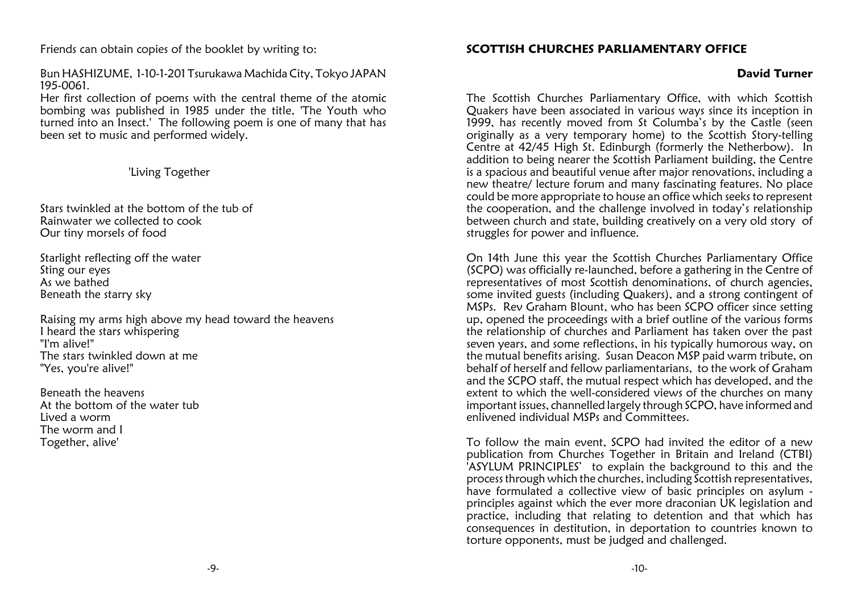Friends can obtain copies of the booklet by writing to:

Bun HASHIZUME, 1-10-1-201 Tsurukawa Machida City, Tokyo JAPAN195-0061.

 Her first collection of poems with the central theme of the atomic bombing was published in 1985 under the title, 'The Youth who turned into an Insect.' The following poem is one of many that hasbeen set to music and performed widely.

'Living Together

Stars twinkled at the bottom of the tub ofRainwater we collected to cook Our tiny morsels of food

Starlight reflecting off the waterSting our eyes As we bathedBeneath the starry sky

Raising my arms high above my head toward the heavensI heard the stars whispering"I'm alive!" The stars twinkled down at me"Yes, you're alive!"

Beneath the heavens At the bottom of the water tubLived a worm The worm and I Together, alive'

### SCOTTISH CHURCHES PARLIAMENTARY OFFICE

#### David Turner

The Scottish Churches Parliamentary Office, with which Scottish Quakers have been associated in various ways since its inception in 1999, has recently moved from St Columba's by the Castle (seen originally as a very temporary home) to the Scottish Story-telling Centre at 42/45 High St. Edinburgh (formerly the Netherbow). In addition to being nearer the Scottish Parliament building, the Centre is a spacious and beautiful venue after major renovations, including a new theatre/ lecture forum and many fascinating features. No place could be more appropriate to house an office which seeks to represent the cooperation, and the challenge involved in today's relationship between church and state, building creatively on a very old story ofstruggles for power and influence.

On 14th June this year the Scottish Churches Parliamentary Office (SCPO) was officially re-launched, before a gathering in the Centre of representatives of most Scottish denominations, of church agencies, some invited guests (including Quakers), and a strong contingent of MSPs. Rev Graham Blount, who has been SCPO officer since setting up, opened the proceedings with a brief outline of the various forms the relationship of churches and Parliament has taken over the past seven years, and some reflections, in his typically humorous way, on the mutual benefits arising. Susan Deacon MSP paid warm tribute, on behalf of herself and fellow parliamentarians, to the work of Graham and the SCPO staff, the mutual respect which has developed, and the extent to which the well-considered views of the churches on many important issues, channelled largely through SCPO, have informed andenlivened individual MSPs and Committees.

To follow the main event, SCPO had invited the editor of a new publication from Churches Together in Britain and Ireland (CTBI) 'ASYLUM PRINCIPLES' to explain the background to this and the process through which the churches, including Scottish representatives, have formulated a collective view of basic principles on asylum principles against which the ever more draconian UK legislation and practice, including that relating to detention and that which has consequences in destitution, in deportation to countries known totorture opponents, must be judged and challenged.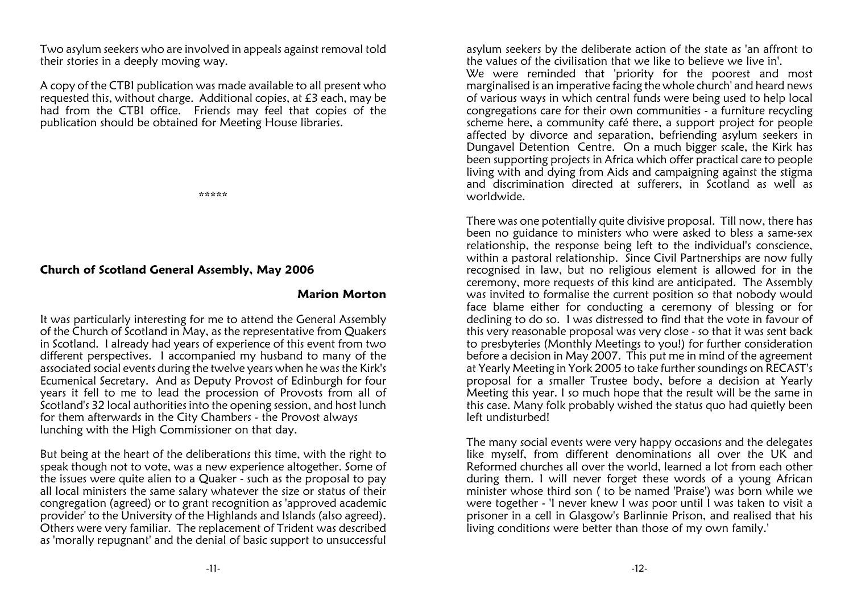Two asylum seekers who are involved in appeals against removal toldtheir stories in a deeply moving way.

A copy of the CTBI publication was made available to all present who requested this, without charge. Additional copies, at £3 each, may be had from the CTBI office. Friends may feel that copies of thepublication should be obtained for Meeting House libraries.

\*\*\*\*\*

#### Church of Scotland General Assembly, May 2006

#### Marion Morton

It was particularly interesting for me to attend the General Assemblyof the Church of Scotland in May, as the representative from Quakers in Scotland. I already had years of experience of this event from two different perspectives. I accompanied my husband to many of the associated social events during the twelve years when he was the Kirk's Ecumenical Secretary. And as Deputy Provost of Edinburgh for four years it fell to me to lead the procession of Provosts from all of Scotland's 32 local authorities into the opening session, and host lunchfor them afterwards in the City Chambers - the Provost always lunching with the High Commissioner on that day.

But being at the heart of the deliberations this time, with the right to speak though not to vote, was a new experience altogether. Some of the issues were quite alien to a Quaker - such as the proposal to pay all local ministers the same salary whatever the size or status of their congregation (agreed) or to grant recognition as 'approved academic provider' to the University of the Highlands and Islands (also agreed). Others were very familiar. The replacement of Trident was describedas 'morally repugnant' and the denial of basic support to unsuccessful

asylum seekers by the deliberate action of the state as 'an affront tothe values of the civilisation that we like to believe we live in'. We were reminded that 'priority for the poorest and most marginalised is an imperative facing the whole church' and heard news of various ways in which central funds were being used to help local congregations care for their own communities - a furniture recyclingscheme here, a community café there, a support project for people

 affected by divorce and separation, befriending asylum seekers in Dungavel Detention Centre. On a much bigger scale, the Kirk has been supporting projects in Africa which offer practical care to people living with and dying from Aids and campaigning against the stigma and discrimination directed at sufferers, in Scotland as well asworldwide.

There was one potentially quite divisive proposal. Till now, there has been no guidance to ministers who were asked to bless a same-sex relationship, the response being left to the individual's conscience, within a pastoral relationship. Since Civil Partnerships are now fully recognised in law, but no religious element is allowed for in the ceremony, more requests of this kind are anticipated. The Assembly was invited to formalise the current position so that nobody would face blame either for conducting a ceremony of blessing or for declining to do so. I was distressed to find that the vote in favour of this very reasonable proposal was very close - so that it was sent back to presbyteries (Monthly Meetings to you!) for further consideration before a decision in May 2007. This put me in mind of the agreement at Yearly Meeting in York 2005 to take further soundings on RECAST's proposal for a smaller Trustee body, before a decision at Yearly Meeting this year. I so much hope that the result will be the same in this case. Many folk probably wished the status quo had quietly beenleft undisturbed!

The many social events were very happy occasions and the delegates like myself, from different denominations all over the UK and Reformed churches all over the world, learned a lot from each other during them. I will never forget these words of a young African minister whose third son ( to be named 'Praise') was born while we were together - 'I never knew I was poor until I was taken to visit a prisoner in a cell in Glasgow's Barlinnie Prison, and realised that hisliving conditions were better than those of my own family.'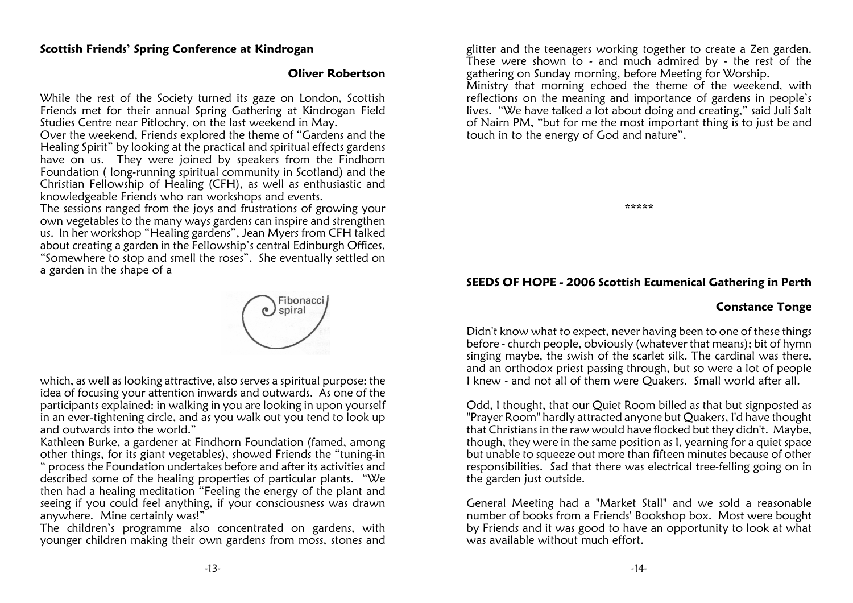#### Scottish Friends' Spring Conference at Kindrogan

#### Oliver Robertson

While the rest of the Society turned its gaze on London, Scottish Friends met for their annual Spring Gathering at Kindrogan FieldStudies Centre near Pitlochry, on the last weekend in May.

 Over the weekend, Friends explored the theme of "Gardens and the Healing Spirit" by looking at the practical and spiritual effects gardens have on us. They were joined by speakers from the Findhorn Foundation ( long-running spiritual community in Scotland) and the Christian Fellowship of Healing (CFH), as well as enthusiastic andknowledgeable Friends who ran workshops and events.

 The sessions ranged from the joys and frustrations of growing your own vegetables to the many ways gardens can inspire and strengthen us. In her workshop "Healing gardens", Jean Myers from CFH talked about creating a garden in the Fellowship's central Edinburgh Offices, "Somewhere to stop and smell the roses". She eventually settled ona garden in the shape of a



which, as well as looking attractive, also serves a spiritual purpose: the idea of focusing your attention inwards and outwards. As one of the participants explained: in walking in you are looking in upon yourself in an ever-tightening circle, and as you walk out you tend to look upand outwards into the world."

 Kathleen Burke, a gardener at Findhorn Foundation (famed, among other things, for its giant vegetables), showed Friends the "tuning-in " process the Foundation undertakes before and after its activities and described some of the healing properties of particular plants. "We then had a healing meditation "Feeling the energy of the plant and seeing if you could feel anything, if your consciousness was drawnanywhere. Mine certainly was!"

 The children's programme also concentrated on gardens, withyounger children making their own gardens from moss, stones and glitter and the teenagers working together to create a Zen garden. These were shown to - and much admired by - the rest of thegathering on Sunday morning, before Meeting for Worship.

 Ministry that morning echoed the theme of the weekend, with reflections on the meaning and importance of gardens in people's lives. "We have talked a lot about doing and creating," said Juli Salt of Nairn PM, "but for me the most important thing is to just be andtouch in to the energy of God and nature".

\*\*\*\*\*

#### SEEDS OF HOPE - 2006 Scottish Ecumenical Gathering in Perth

#### Constance Tonge

Didn't know what to expect, never having been to one of these things before - church people, obviously (whatever that means); bit of hymn singing maybe, the swish of the scarlet silk. The cardinal was there, and an orthodox priest passing through, but so were a lot of peopleI knew - and not all of them were Quakers. Small world after all.

Odd, I thought, that our Quiet Room billed as that but signposted as "Prayer Room" hardly attracted anyone but Quakers, I'd have thought that Christians in the raw would have flocked but they didn't. Maybe, though, they were in the same position as I, yearning for a quiet space but unable to squeeze out more than fifteen minutes because of other responsibilities. Sad that there was electrical tree-felling going on inthe garden just outside.

General Meeting had a "Market Stall" and we sold a reasonable number of books from a Friends' Bookshop box. Most were bought by Friends and it was good to have an opportunity to look at whatwas available without much effort.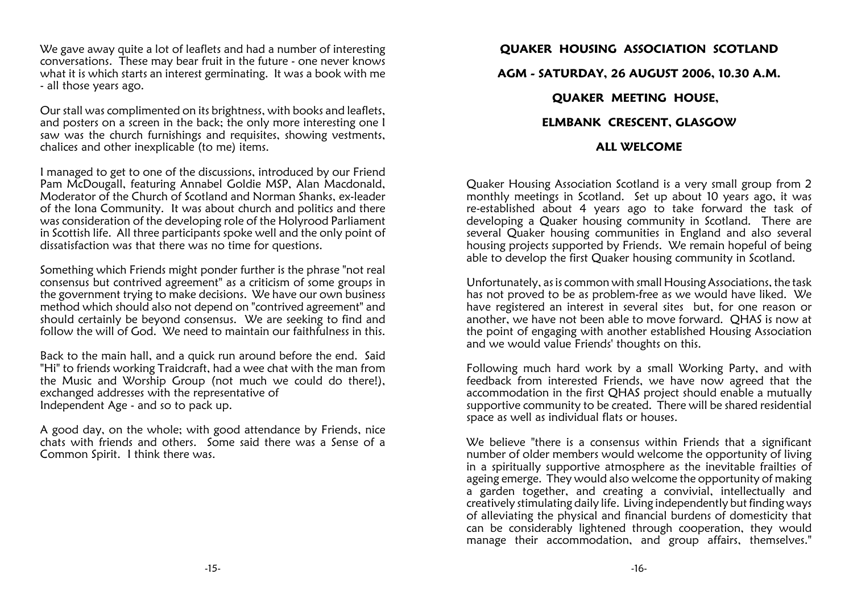We gave away quite a lot of leaflets and had a number of interesting conversations. These may bear fruit in the future - one never knows what it is which starts an interest germinating. It was a book with me- all those years ago.

Our stall was complimented on its brightness, with books and leaflets, and posters on a screen in the back; the only more interesting one I saw was the church furnishings and requisites, showing vestments,chalices and other inexplicable (to me) items.

I managed to get to one of the discussions, introduced by our Friend Pam McDougall, featuring Annabel Goldie MSP, Alan Macdonald, Moderator of the Church of Scotland and Norman Shanks, ex-leader of the Iona Community. It was about church and politics and there was consideration of the developing role of the Holyrood Parliament in Scottish life. All three participants spoke well and the only point ofdissatisfaction was that there was no time for questions.

Something which Friends might ponder further is the phrase "not real consensus but contrived agreement" as a criticism of some groups in the government trying to make decisions. We have our own business method which should also not depend on "contrived agreement" and should certainly be beyond consensus. We are seeking to find andfollow the will of God. We need to maintain our faithfulness in this.

Back to the main hall, and a quick run around before the end. Said "Hi" to friends working Traidcraft, had a wee chat with the man from the Music and Worship Group (not much we could do there!),exchanged addresses with the representative of Independent Age - and so to pack up.

A good day, on the whole; with good attendance by Friends, nice chats with friends and others. Some said there was a Sense of aCommon Spirit. I think there was.

## QUAKER HOUSING ASSOCIATION SCOTLANDAGM - SATURDAY, 26 AUGUST 2006, 10.30 A.M.QUAKER MEETING HOUSE, ELMBANK CRESCENT, GLASGOWALL WELCOME

Quaker Housing Association Scotland is a very small group from 2 monthly meetings in Scotland. Set up about 10 years ago, it was re-established about 4 years ago to take forward the task of developing a Quaker housing community in Scotland. There are several Quaker housing communities in England and also several housing projects supported by Friends. We remain hopeful of beingable to develop the first Quaker housing community in Scotland.

Unfortunately, as is common with small Housing Associations, the task has not proved to be as problem-free as we would have liked. We have registered an interest in several sites but, for one reason or another, we have not been able to move forward. QHAS is now at the point of engaging with another established Housing Associationand we would value Friends' thoughts on this.

Following much hard work by a small Working Party, and with feedback from interested Friends, we have now agreed that the accommodation in the first QHAS project should enable a mutually supportive community to be created. There will be shared residentialspace as well as individual flats or houses.

We believe "there is a consensus within Friends that a significant number of older members would welcome the opportunity of living in a spiritually supportive atmosphere as the inevitable frailties of ageing emerge. They would also welcome the opportunity of making a garden together, and creating a convivial, intellectually and creatively stimulating daily life. Living independently but finding ways of alleviating the physical and financial burdens of domesticity that can be considerably lightened through cooperation, they wouldmanage their accommodation, and group affairs, themselves."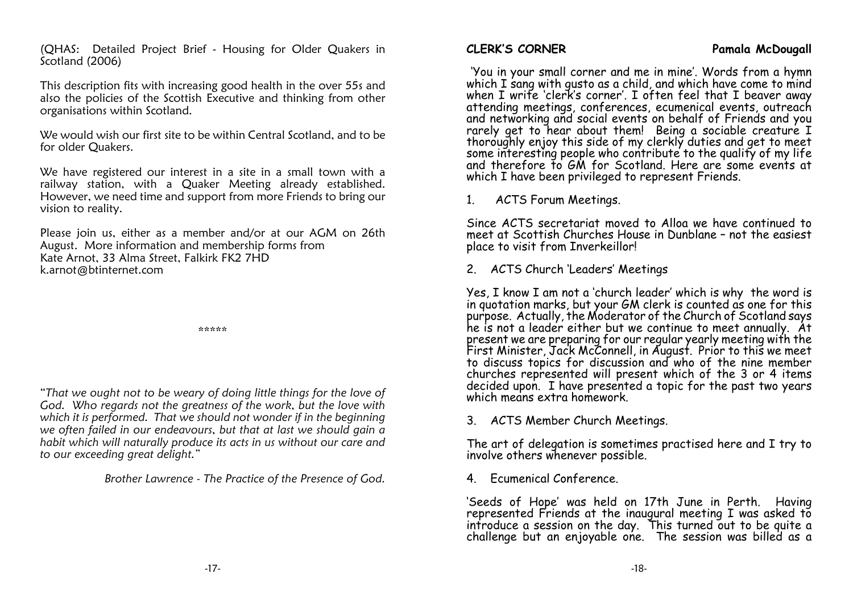(QHAS: Detailed Project Brief - Housing for Older Quakers inScotland (2006)

This description fits with increasing good health in the over 55s and also the policies of the Scottish Executive and thinking from otherorganisations within Scotland.

We would wish our first site to be within Central Scotland, and to befor older Quakers.

We have registered our interest in a site in a small town with a railway station, with a Quaker Meeting already established. However, we need time and support from more Friends to bring ourvision to reality.

Please join us, either as a member and/or at our AGM on 26thAugust. More information and membership forms fromKate Arnot, 33 Alma Street, Falkirk FK2 7HDk.arnot@btinternet.com

\*\*\*\*\*

"That we ought not to be weary of doing little things for the love of God. Who regards not the greatness of the work, but the love with which it is performed. That we should not wonder if in the beginning we often failed in our endeavours, but that at last we should gain a habit which will naturally produce its acts in us without our care andto our exceeding great delight."

Brother Lawrence - The Practice of the Presence of God.

-17-

 'You in your small corner and me in mine'. Words from a hymnwhich I sang with gusto as a child, and which have come to mind when I write 'clerk's corner'. I often feel that I beaver away attending meetings, conferences, ecumenical events, outreach and networking and social events on behalf of Friends and yourarely get to hear about them! Being a sociable creature I thoroughly enjoy this side of my clerkly duties and get to meet some interesting people who contribute to the quality of my life and therefore to GM for Scotland. Here are some events at which I have been privileged to represent Friends.

1. ACTS Forum Meetings.

Since ACTS secretariat moved to Alloa we have continued to meet at Scottish Churches House in Dunblane – not the easiestplace to visit from Inverkeillor!

2. ACTS Church 'Leaders' Meetings

Yes, I know I am not a 'church leader' which is why the word isin quotation marks, but your GM clerk is counted as one for this purpose. Actually, the Moderator of the Church of Scotland says he is not a leader either but we continue to meet annually. At present we are preparing for our regular yearly meeting with the First Minister, Jack McConnell, in August. Prior to this we meet to discuss topics for discussion and who of the nine member churches represented will present which of the 3 or 4 itemsdecided upon. I have presented a topic for the past two years which means extra homework.

3. ACTS Member Church Meetings.

The art of delegation is sometimes practised here and I try toinvolve others whenever possible.

4. Ecumenical Conference.

'Seeds of Hope' was held on 17th June in Perth. Having represented Friends at the inaugural meeting I was asked to introduce a session on the day. This turned out to be quite achallenge but an enjoyable one. The session was billed as a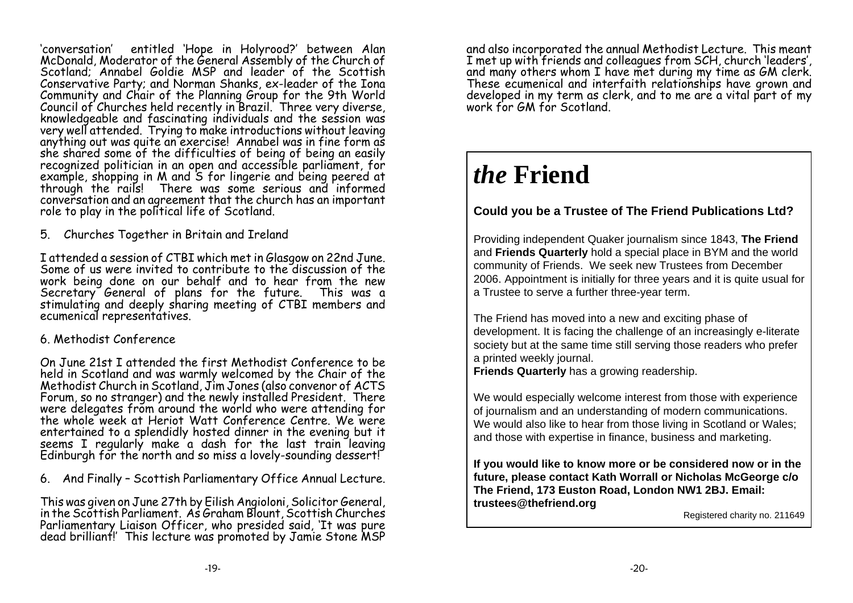'conversation' entitled 'Hope in Holyrood?' between Alan McDonald, Moderator of the General Assembly of the Church ofScotland: Annabel Goldie MSP and leader of the Scottish Conservative Party; and Norman Shanks, ex-leader of the Iona Community and Chair of the Planning Group for the 9th Worldknowledgeable and fascinating individuals and the session was very well attended. Trying to make introductions without leavinganything out was quite an exercise! Annabel was in fine form as she shared some of the difficulties of being of being an easily recognized politician in an open and accessible parliament, forexample, shopping in M and S for lingerie and being peered at through the rails! There was some serious and informed conversation and an agreement that the church has an importantrole to play in the political life of Scotland.

5. Churches Together in Britain and Ireland

I attended a session of CTBI which met in Glasgow on 22nd June. Some of us were invited to contribute to the discussion of the work being done on our behalf and to hear from the new Secretary General of plans for the future. This was a stimulating and deeply sharing meeting of CTBI members andecumenical representatives.

#### 6. Methodist Conference

On June 21st I attended the first Methodist Conference to be held in Scotland and was warmly welcomed by the Chair of theMethodist Church in Scotland, Jim Jones (also convenor of ACTS Forum, so no stranger) and the newly installed President. Therewere delegates from around the world who were attending for the whole week at Heriot Watt Conference Centre. We were entertained to a splendidly hosted dinner in the evening but itseems I regularly make a dash for the last train leaving Edinburgh for the north and so miss a lovely-sounding dessert!

6. And Finally – Scottish Parliamentary Office Annual Lecture.

This was given on June 27th by Eilish Angioloni, Solicitor General, in the Scottish Parliament. As Graham Blount, Scottish Churches Parliamentary Liaison Officer, who presided said, 'It was puredead brilliant!' This lecture was promoted by Jamie Stone MSP and also incorporated the annual Methodist Lecture. This meant<br>I met up with friends and colleagues from SCH, church 'leaders', and many others whom I have met during my time as GM clerk.<br>These ecumenical and interfaith relationships have grown and developed in my term as clerk, and to me are a vital part of mywork for GM for Scotland.

# *the* **Friend**

## **Could you be a Trustee of The Friend Publications Ltd?**

Providing independent Quaker journalism since 1843, **The Friend** and **Friends Quarterly** hold a special place in BYM and the worldcommunity of Friends. We seek new Trustees from December 2006. Appointment is initially for three years and it is quite usual fora Trustee to serve a further three-year term.

The Friend has moved into a new and exciting phase of development. It is facing the challenge of an increasingly e-literate society but at the same time still serving those readers who prefera printed weekly journal.

**Friends Quarterly** has a growing readership.

We would especially welcome interest from those with experienceof journalism and an understanding of modern communications. We would also like to hear from those living in Scotland or Wales;and those with expertise in finance, business and marketing.

**If you would like to know more or be considered now or in the future, please contact Kath Worrall or Nicholas McGeorge c/oThe Friend, 173 Euston Road, London NW1 2BJ. Email:trustees@thefriend.org**

Registered charity no. 211649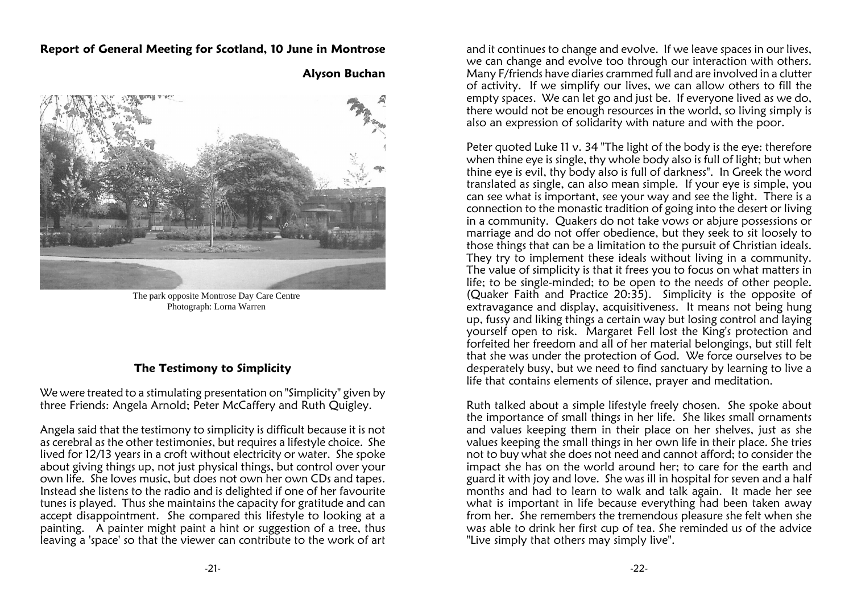#### Report of General Meeting for Scotland, 10 June in Montrose



Alyson Buchan

The park opposite Montrose Day Care CentrePhotograph: Lorna Warren

#### The Testimony to Simplicity

We were treated to a stimulating presentation on "Simplicity" given bythree Friends: Angela Arnold; Peter McCaffery and Ruth Quigley.

Angela said that the testimony to simplicity is difficult because it is not as cerebral as the other testimonies, but requires a lifestyle choice. She lived for 12/13 years in a croft without electricity or water. She spoke about giving things up, not just physical things, but control over your own life. She loves music, but does not own her own CDs and tapes. Instead she listens to the radio and is delighted if one of her favourite tunes is played. Thus she maintains the capacity for gratitude and can accept disappointment. She compared this lifestyle to looking at a painting. A painter might paint a hint or suggestion of a tree, thusleaving a 'space' so that the viewer can contribute to the work of art

and it continues to change and evolve. If we leave spaces in our lives, we can change and evolve too through our interaction with others. Many F/friends have diaries crammed full and are involved in a clutter of activity. If we simplify our lives, we can allow others to fill the empty spaces. We can let go and just be. If everyone lived as we do, there would not be enough resources in the world, so living simply isalso an expression of solidarity with nature and with the poor.

Peter auoted Luke 11 v. 34 "The light of the body is the eye: therefore when thine eye is single, thy whole body also is full of light; but when thine eye is evil, thy body also is full of darkness". In Greek the word translated as single, can also mean simple. If your eye is simple, you can see what is important, see your way and see the light. There is a connection to the monastic tradition of going into the desert or living in a community. Quakers do not take vows or abjure possessions or marriage and do not offer obedience, but they seek to sit loosely to those things that can be a limitation to the pursuit of Christian ideals. They try to implement these ideals without living in a community. The value of simplicity is that it frees you to focus on what matters in life; to be single-minded; to be open to the needs of other people. (Quaker Faith and Practice 20:35). Simplicity is the opposite of extravagance and display, acquisitiveness. It means not being hung up, fussy and liking things a certain way but losing control and laying yourself open to risk. Margaret Fell lost the King's protection and forfeited her freedom and all of her material belongings, but still felt that she was under the protection of God. We force ourselves to be desperately busy, but we need to find sanctuary by learning to live alife that contains elements of silence, prayer and meditation.

Ruth talked about a simple lifestyle freely chosen. She spoke about the importance of small things in her life. She likes small ornaments and values keeping them in their place on her shelves, just as she values keeping the small things in her own life in their place. She tries not to buy what she does not need and cannot afford; to consider the impact she has on the world around her; to care for the earth and guard it with joy and love. She was ill in hospital for seven and a half months and had to learn to walk and talk again. It made her see what is important in life because everything had been taken away from her. She remembers the tremendous pleasure she felt when she was able to drink her first cup of tea. She reminded us of the advice"Live simply that others may simply live".